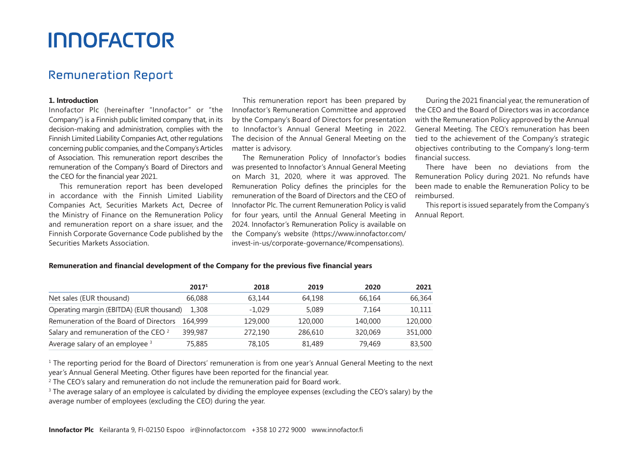# **INNOFACTOR**

# Remuneration Report

### **1. Introduction**

Innofactor Plc (hereinafter "Innofactor" or "the Company") is a Finnish public limited company that, in its decision-making and administration, complies with the Finnish Limited Liability Companies Act, other regulations concerning public companies, and the Company's Articles of Association. This remuneration report describes the remuneration of the Company's Board of Directors and the CEO for the financial year 2021.

This remuneration report has been developed in accordance with the Finnish Limited Liability Companies Act, Securities Markets Act, Decree of the Ministry of Finance on the Remuneration Policy and remuneration report on a share issuer, and the Finnish Corporate Governance Code published by the Securities Markets Association.

This remuneration report has been prepared by Innofactor's Remuneration Committee and approved by the Company's Board of Directors for presentation to Innofactor's Annual General Meeting in 2022. The decision of the Annual General Meeting on the matter is advisory.

The Remuneration Policy of Innofactor's bodies was presented to Innofactor's Annual General Meeting on March 31, 2020, where it was approved. The Remuneration Policy defines the principles for the remuneration of the Board of Directors and the CEO of Innofactor Plc. The current Remuneration Policy is valid for four years, until the Annual General Meeting in 2024. Innofactor's Remuneration Policy is available on the Company's website (https://www.innofactor.com/ invest-in-us/corporate-governance/#compensations).

During the 2021 financial year, the remuneration of the CEO and the Board of Directors was in accordance with the Remuneration Policy approved by the Annual General Meeting. The CEO's remuneration has been tied to the achievement of the Company's strategic objectives contributing to the Company's long-term financial success.

There have been no deviations from the Remuneration Policy during 2021. No refunds have been made to enable the Remuneration Policy to be reimbursed.

This report is issued separately from the Company's Annual Report.

# **Remuneration and financial development of the Company for the previous five financial years**

|                                                 | 2017 <sup>1</sup> | 2018     | 2019    | 2020    | 2021    |
|-------------------------------------------------|-------------------|----------|---------|---------|---------|
| Net sales (EUR thousand)                        | 66,088            | 63,144   | 64,198  | 66,164  | 66,364  |
| Operating margin (EBITDA) (EUR thousand)        | 1,308             | $-1.029$ | 5,089   | 7.164   | 10.111  |
| Remuneration of the Board of Directors          | 164.999           | 129,000  | 120,000 | 140,000 | 120,000 |
| Salary and remuneration of the CEO <sup>2</sup> | 399,987           | 272,190  | 286,610 | 320,069 | 351,000 |
| Average salary of an employee 3                 | 75,885            | 78,105   | 81,489  | 79.469  | 83,500  |

<sup>1</sup> The reporting period for the Board of Directors' remuneration is from one year's Annual General Meeting to the next year's Annual General Meeting. Other figures have been reported for the financial year.

<sup>2</sup> The CEO's salary and remuneration do not include the remuneration paid for Board work.

<sup>3</sup> The average salary of an employee is calculated by dividing the employee expenses (excluding the CEO's salary) by the average number of employees (excluding the CEO) during the year.